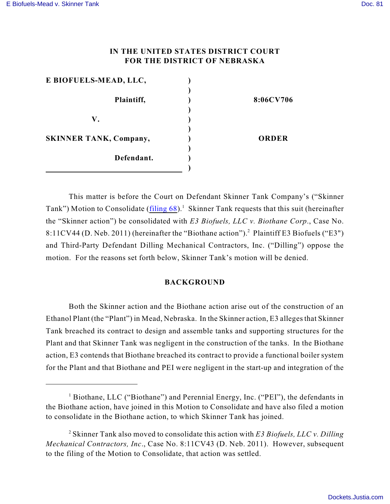#### **IN THE UNITED STATES DISTRICT COURT FOR THE DISTRICT OF NEBRASKA**

| E BIOFUELS-MEAD, LLC,         |              |
|-------------------------------|--------------|
|                               |              |
| Plaintiff,                    | 8:06CV706    |
|                               |              |
| V.                            |              |
|                               |              |
| <b>SKINNER TANK, Company,</b> | <b>ORDER</b> |
|                               |              |
| Defendant.                    |              |
|                               |              |

This matter is before the Court on Defendant Skinner Tank Company's ("Skinner Tank") Motion to Consolidate (filing  $68$ ).<sup>1</sup> Skinner Tank requests that this suit (hereinafter the "Skinner action") be consolidated with *E3 Biofuels, LLC v. Biothane Corp*., Case No. 8:11CV44 (D. Neb. 2011) (hereinafter the "Biothane action").<sup>2</sup> Plaintiff E3 Biofuels ("E3") and Third-Party Defendant Dilling Mechanical Contractors, Inc. ("Dilling") oppose the motion. For the reasons set forth below, Skinner Tank's motion will be denied.

#### **BACKGROUND**

Both the Skinner action and the Biothane action arise out of the construction of an Ethanol Plant (the "Plant") in Mead, Nebraska. In the Skinner action, E3 alleges that Skinner Tank breached its contract to design and assemble tanks and supporting structures for the Plant and that Skinner Tank was negligent in the construction of the tanks. In the Biothane action, E3 contends that Biothane breached its contract to provide a functional boiler system for the Plant and that Biothane and PEI were negligent in the start-up and integration of the

<sup>&</sup>lt;sup>1</sup> Biothane, LLC ("Biothane") and Perennial Energy, Inc. ("PEI"), the defendants in the Biothane action, have joined in this Motion to Consolidate and have also filed a motion to consolidate in the Biothane action, to which Skinner Tank has joined.

Skinner Tank also moved to consolidate this action with *E3 Biofuels, LLC v. Dilling* <sup>2</sup> *Mechanical Contractors, Inc*., Case No. 8:11CV43 (D. Neb. 2011). However, subsequent to the filing of the Motion to Consolidate, that action was settled.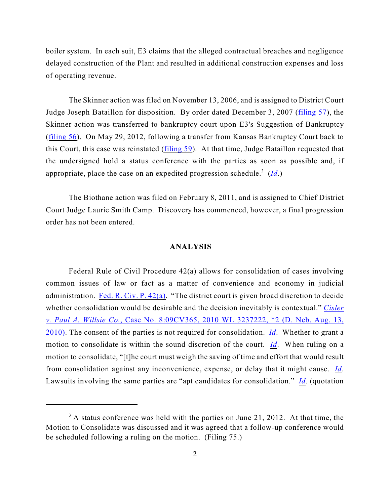boiler system. In each suit, E3 claims that the alleged contractual breaches and negligence delayed construction of the Plant and resulted in additional construction expenses and loss of operating revenue.

The Skinner action was filed on November 13, 2006, and is assigned to District Court Judge Joseph Bataillon for disposition. By order dated December 3, 2007 ([filing 57](https://ecf.ned.uscourts.gov/doc1/11311327940)), the Skinner action was transferred to bankruptcy court upon E3's Suggestion of Bankruptcy ([filing 56](https://ecf.ned.uscourts.gov/doc1/11311325087)). On May 29, 2012, following a transfer from Kansas Bankruptcy Court back to this Court, this case was reinstated [\(filing 59](https://ecf.ned.uscourts.gov/doc1/11312534291)). At that time, Judge Bataillon requested that the undersigned hold a status conference with the parties as soon as possible and, if appropriate, place the case on an expedited progression schedule.<sup>3</sup> ( $\underline{Id}$  $\underline{Id}$  $\underline{Id}$ .)

The Biothane action was filed on February 8, 2011, and is assigned to Chief District Court Judge Laurie Smith Camp. Discovery has commenced, however, a final progression order has not been entered.

#### **ANALYSIS**

Federal Rule of Civil Procedure 42(a) allows for consolidation of cases involving common issues of law or fact as a matter of convenience and economy in judicial administration. [Fed. R. Civ. P. 42\(a\)](http://web2.westlaw.com/find/default.wl?rs=WLW9.11&ifm=NotSet&fn=_top&sv=Split&cite=fed.r.civ.p+42&utid=1&vr=2.0&rp=%2ffind%2fdefault.wl&mt=FederalGovernment). "The district court is given broad discretion to decide whether consolidation would be desirable and the decision inevitably is contextual." *[Cisler](http://web2.westlaw.com/find/default.wl?cite=2010+wl+3237222&rs=WLW12.04&vr=2.0&rp=%2ffind%2fdefault.wl&utid=1&fn=_top&mt=FederalGovernment&sv=Split) v. Paul A. Willsie Co.*[, Case No. 8:09CV365, 2010 WL 3237222, \\*2 \(D. Neb. Aug. 13,](http://web2.westlaw.com/find/default.wl?cite=2010+wl+3237222&rs=WLW12.04&vr=2.0&rp=%2ffind%2fdefault.wl&utid=1&fn=_top&mt=FederalGovernment&sv=Split) [2010\)](http://web2.westlaw.com/find/default.wl?cite=2010+wl+3237222&rs=WLW12.04&vr=2.0&rp=%2ffind%2fdefault.wl&utid=1&fn=_top&mt=FederalGovernment&sv=Split). The consent of the parties is not required for consolidation. *[Id](http://web2.westlaw.com/find/default.wl?cite=2010+wl+3237222&rs=WLW12.04&vr=2.0&rp=%2ffind%2fdefault.wl&utid=1&fn=_top&mt=FederalGovernment&sv=Split)*. Whether to grant a motion to consolidate is within the sound discretion of the court. *[Id](http://web2.westlaw.com/find/default.wl?cite=2010+wl+3237222&rs=WLW12.04&vr=2.0&rp=%2ffind%2fdefault.wl&utid=3&fn=_top&mt=ReutersNewsUS&sv=Split)*. When ruling on a motion to consolidate, "[t]he court must weigh the saving of time and effort that would result from consolidation against any inconvenience, expense, or delay that it might cause. *[Id](http://web2.westlaw.com/find/default.wl?cite=2010+wl+3237222&rs=WLW12.04&vr=2.0&rp=%2ffind%2fdefault.wl&utid=3&fn=_top&mt=ReutersNewsUS&sv=Split)*. Lawsuits involving the same parties are "apt candidates for consolidation." *[Id](http://web2.westlaw.com/find/default.wl?cite=2010+wl+3237222&rs=WLW12.04&vr=2.0&rp=%2ffind%2fdefault.wl&utid=3&fn=_top&mt=ReutersNewsUS&sv=Split)*. (quotation

 $3$  A status conference was held with the parties on June 21, 2012. At that time, the Motion to Consolidate was discussed and it was agreed that a follow-up conference would be scheduled following a ruling on the motion. (Filing 75.)